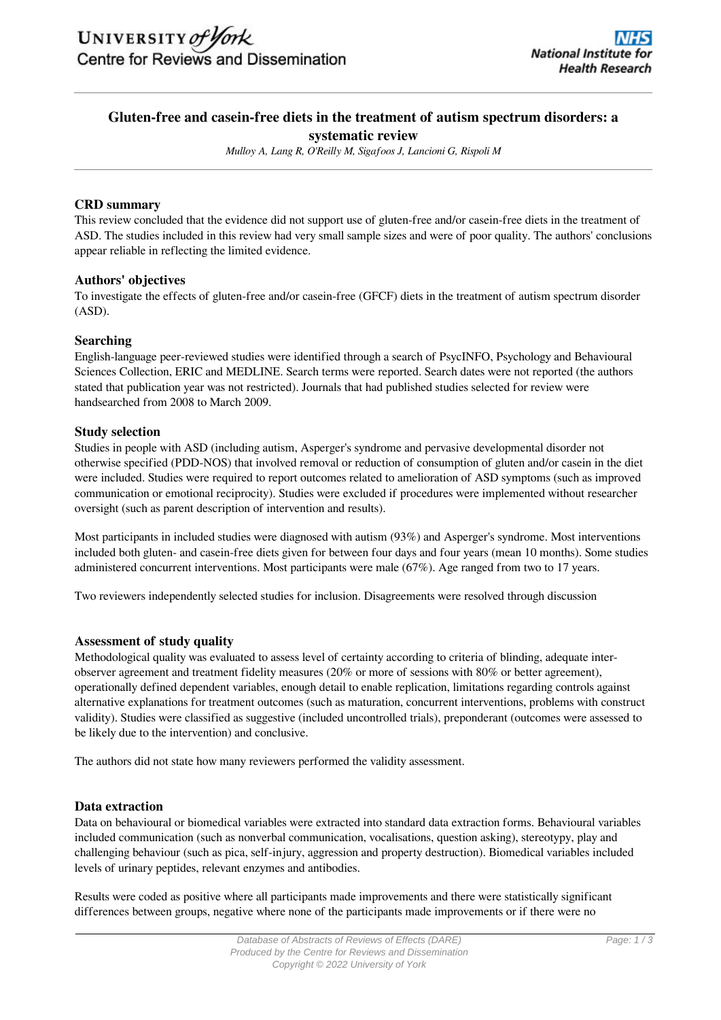# **Gluten-free and casein-free diets in the treatment of autism spectrum disorders: a systematic review**

*Mulloy A, Lang R, O'Reilly M, Sigafoos J, Lancioni G, Rispoli M*

## **CRD summary**

This review concluded that the evidence did not support use of gluten-free and/or casein-free diets in the treatment of ASD. The studies included in this review had very small sample sizes and were of poor quality. The authors' conclusions appear reliable in reflecting the limited evidence.

# **Authors' objectives**

To investigate the effects of gluten-free and/or casein-free (GFCF) diets in the treatment of autism spectrum disorder (ASD).

# **Searching**

English-language peer-reviewed studies were identified through a search of PsycINFO, Psychology and Behavioural Sciences Collection, ERIC and MEDLINE. Search terms were reported. Search dates were not reported (the authors stated that publication year was not restricted). Journals that had published studies selected for review were handsearched from 2008 to March 2009.

# **Study selection**

Studies in people with ASD (including autism, Asperger's syndrome and pervasive developmental disorder not otherwise specified (PDD-NOS) that involved removal or reduction of consumption of gluten and/or casein in the diet were included. Studies were required to report outcomes related to amelioration of ASD symptoms (such as improved communication or emotional reciprocity). Studies were excluded if procedures were implemented without researcher oversight (such as parent description of intervention and results).

Most participants in included studies were diagnosed with autism (93%) and Asperger's syndrome. Most interventions included both gluten- and casein-free diets given for between four days and four years (mean 10 months). Some studies administered concurrent interventions. Most participants were male (67%). Age ranged from two to 17 years.

Two reviewers independently selected studies for inclusion. Disagreements were resolved through discussion

### **Assessment of study quality**

Methodological quality was evaluated to assess level of certainty according to criteria of blinding, adequate interobserver agreement and treatment fidelity measures (20% or more of sessions with 80% or better agreement), operationally defined dependent variables, enough detail to enable replication, limitations regarding controls against alternative explanations for treatment outcomes (such as maturation, concurrent interventions, problems with construct validity). Studies were classified as suggestive (included uncontrolled trials), preponderant (outcomes were assessed to be likely due to the intervention) and conclusive.

The authors did not state how many reviewers performed the validity assessment.

### **Data extraction**

Data on behavioural or biomedical variables were extracted into standard data extraction forms. Behavioural variables included communication (such as nonverbal communication, vocalisations, question asking), stereotypy, play and challenging behaviour (such as pica, self-injury, aggression and property destruction). Biomedical variables included levels of urinary peptides, relevant enzymes and antibodies.

Results were coded as positive where all participants made improvements and there were statistically significant differences between groups, negative where none of the participants made improvements or if there were no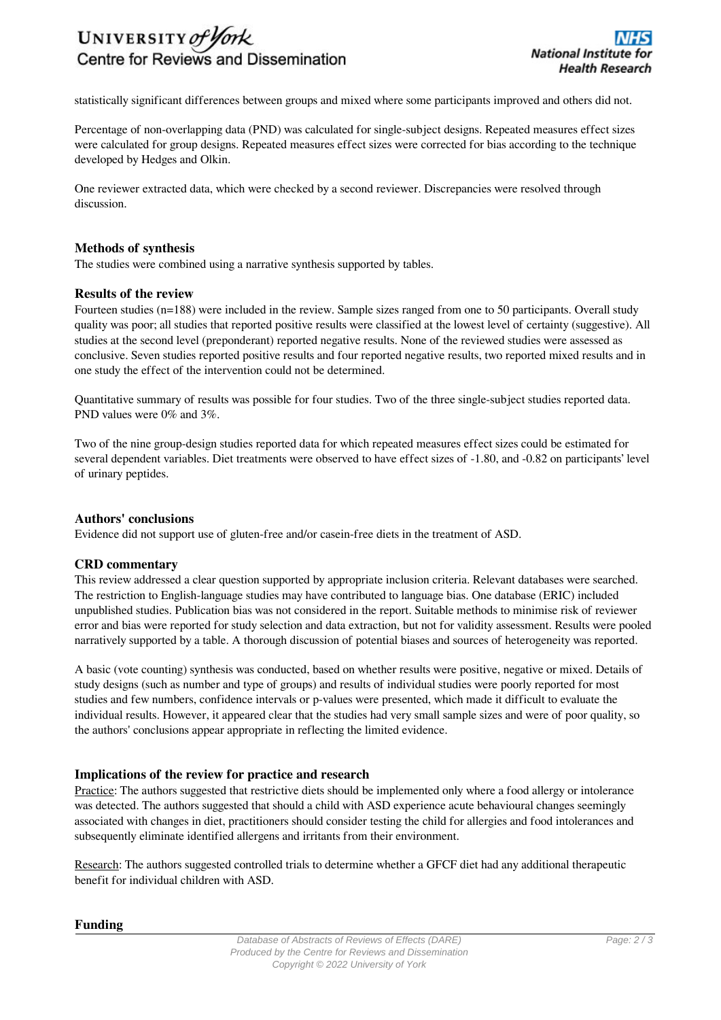

statistically significant differences between groups and mixed where some participants improved and others did not.

Percentage of non-overlapping data (PND) was calculated for single-subject designs. Repeated measures effect sizes were calculated for group designs. Repeated measures effect sizes were corrected for bias according to the technique developed by Hedges and Olkin.

One reviewer extracted data, which were checked by a second reviewer. Discrepancies were resolved through discussion.

### **Methods of synthesis**

The studies were combined using a narrative synthesis supported by tables.

#### **Results of the review**

Fourteen studies (n=188) were included in the review. Sample sizes ranged from one to 50 participants. Overall study quality was poor; all studies that reported positive results were classified at the lowest level of certainty (suggestive). All studies at the second level (preponderant) reported negative results. None of the reviewed studies were assessed as conclusive. Seven studies reported positive results and four reported negative results, two reported mixed results and in one study the effect of the intervention could not be determined.

Quantitative summary of results was possible for four studies. Two of the three single-subject studies reported data. PND values were 0% and 3%.

Two of the nine group-design studies reported data for which repeated measures effect sizes could be estimated for several dependent variables. Diet treatments were observed to have effect sizes of -1.80, and -0.82 on participants' level of urinary peptides.

#### **Authors' conclusions**

Evidence did not support use of gluten-free and/or casein-free diets in the treatment of ASD.

#### **CRD commentary**

This review addressed a clear question supported by appropriate inclusion criteria. Relevant databases were searched. The restriction to English-language studies may have contributed to language bias. One database (ERIC) included unpublished studies. Publication bias was not considered in the report. Suitable methods to minimise risk of reviewer error and bias were reported for study selection and data extraction, but not for validity assessment. Results were pooled narratively supported by a table. A thorough discussion of potential biases and sources of heterogeneity was reported.

A basic (vote counting) synthesis was conducted, based on whether results were positive, negative or mixed. Details of study designs (such as number and type of groups) and results of individual studies were poorly reported for most studies and few numbers, confidence intervals or p-values were presented, which made it difficult to evaluate the individual results. However, it appeared clear that the studies had very small sample sizes and were of poor quality, so the authors' conclusions appear appropriate in reflecting the limited evidence.

### **Implications of the review for practice and research**

Practice: The authors suggested that restrictive diets should be implemented only where a food allergy or intolerance was detected. The authors suggested that should a child with ASD experience acute behavioural changes seemingly associated with changes in diet, practitioners should consider testing the child for allergies and food intolerances and subsequently eliminate identified allergens and irritants from their environment.

Research: The authors suggested controlled trials to determine whether a GFCF diet had any additional therapeutic benefit for individual children with ASD.

**Funding**